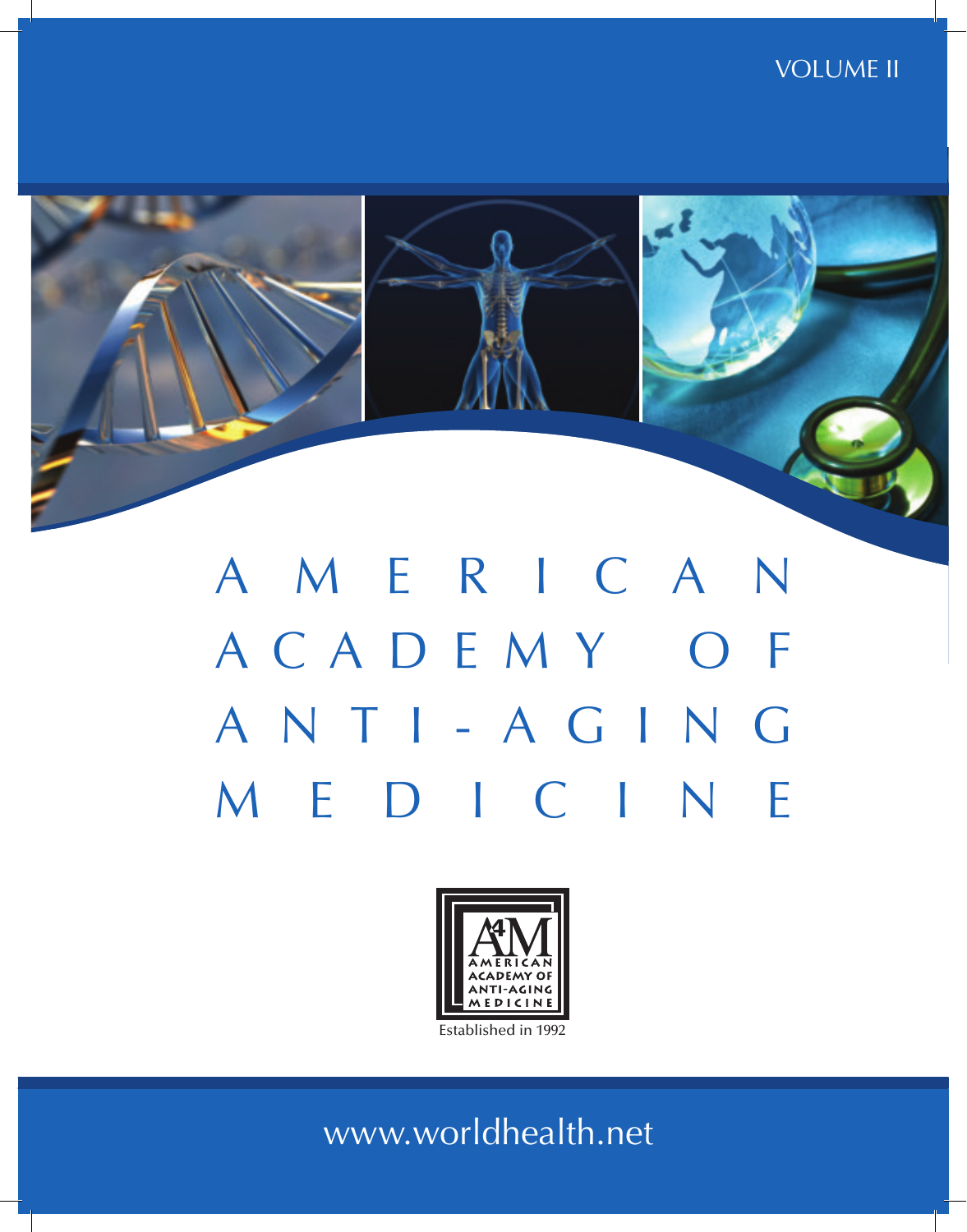# VOLUME



# A M E R I C A N A C A D E M Y O F A N T I - A G IN G M E D I C I N E



Established in 1992

www.worldhealth.net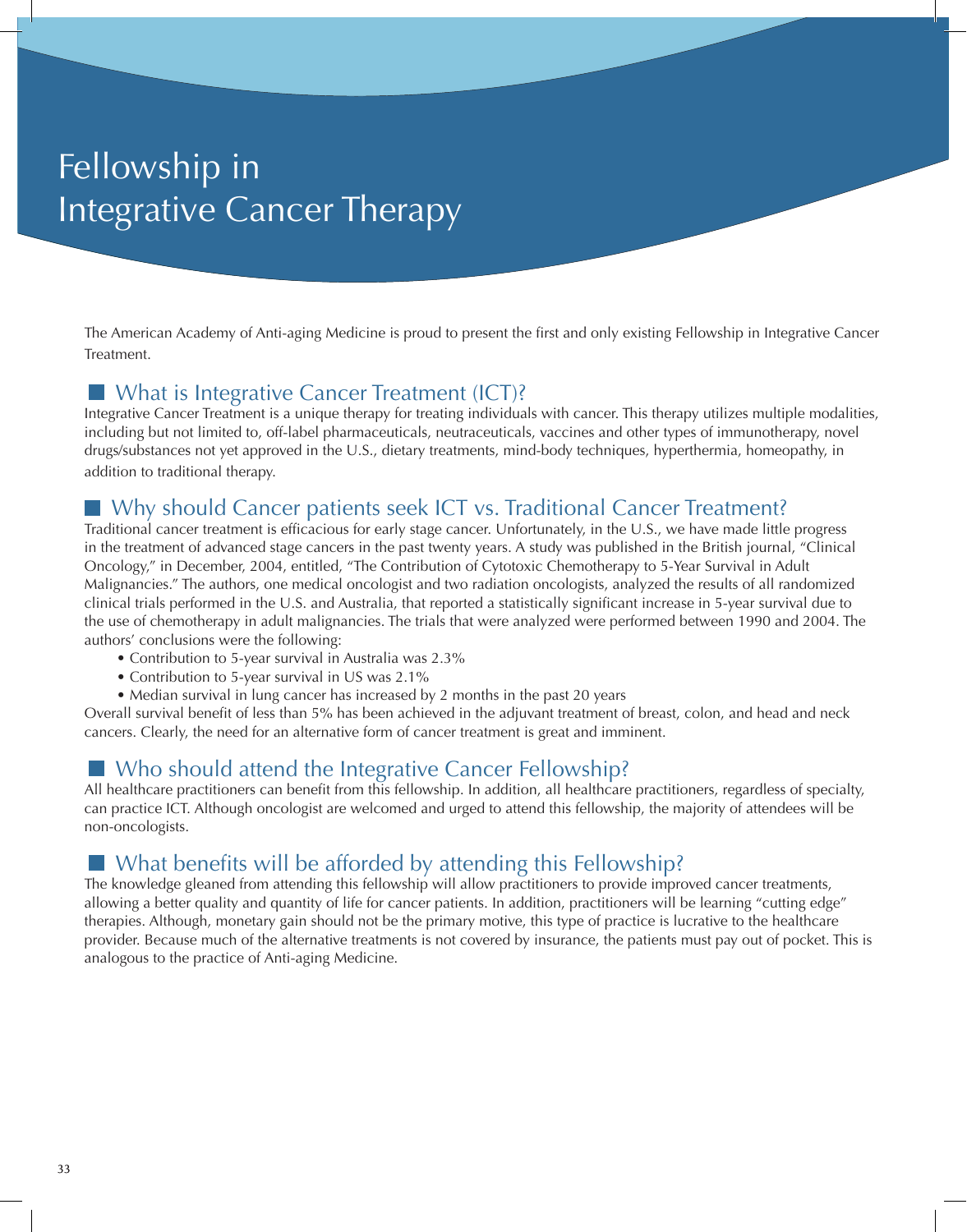# Fellowship in Integrative Cancer Therapy

The American Academy of Anti-aging Medicine is proud to present the first and only existing Fellowship in Integrative Cancer Treatment.

#### What is Integrative Cancer Treatment (ICT)?

Integrative Cancer Treatment is a unique therapy for treating individuals with cancer. This therapy utilizes multiple modalities, including but not limited to, off-label pharmaceuticals, neutraceuticals, vaccines and other types of immunotherapy, novel drugs/substances not yet approved in the U.S., dietary treatments, mind-body techniques, hyperthermia, homeopathy, in addition to traditional therapy.

## Why should Cancer patients seek ICT vs. Traditional Cancer Treatment?

Traditional cancer treatment is efficacious for early stage cancer. Unfortunately, in the U.S., we have made little progress in the treatment of advanced stage cancers in the past twenty years. A study was published in the British journal, "Clinical Oncology," in December, 2004, entitled, "The Contribution of Cytotoxic Chemotherapy to 5-Year Survival in Adult Malignancies." The authors, one medical oncologist and two radiation oncologists, analyzed the results of all randomized clinical trials performed in the U.S. and Australia, that reported a statistically significant increase in 5-year survival due to the use of chemotherapy in adult malignancies. The trials that were analyzed were performed between 1990 and 2004. The authors' conclusions were the following:

- Contribution to 5-year survival in Australia was 2.3%
- Contribution to 5-year survival in US was 2.1%
- Median survival in lung cancer has increased by 2 months in the past 20 years

Overall survival benefit of less than 5% has been achieved in the adjuvant treatment of breast, colon, and head and neck cancers. Clearly, the need for an alternative form of cancer treatment is great and imminent.

### Who should attend the Integrative Cancer Fellowship?

All healthcare practitioners can benefit from this fellowship. In addition, all healthcare practitioners, regardless of specialty, can practice ICT. Although oncologist are welcomed and urged to attend this fellowship, the majority of attendees will be non-oncologists.

## What benefits will be afforded by attending this Fellowship?

The knowledge gleaned from attending this fellowship will allow practitioners to provide improved cancer treatments, allowing a better quality and quantity of life for cancer patients. In addition, practitioners will be learning "cutting edge" therapies. Although, monetary gain should not be the primary motive, this type of practice is lucrative to the healthcare provider. Because much of the alternative treatments is not covered by insurance, the patients must pay out of pocket. This is analogous to the practice of Anti-aging Medicine.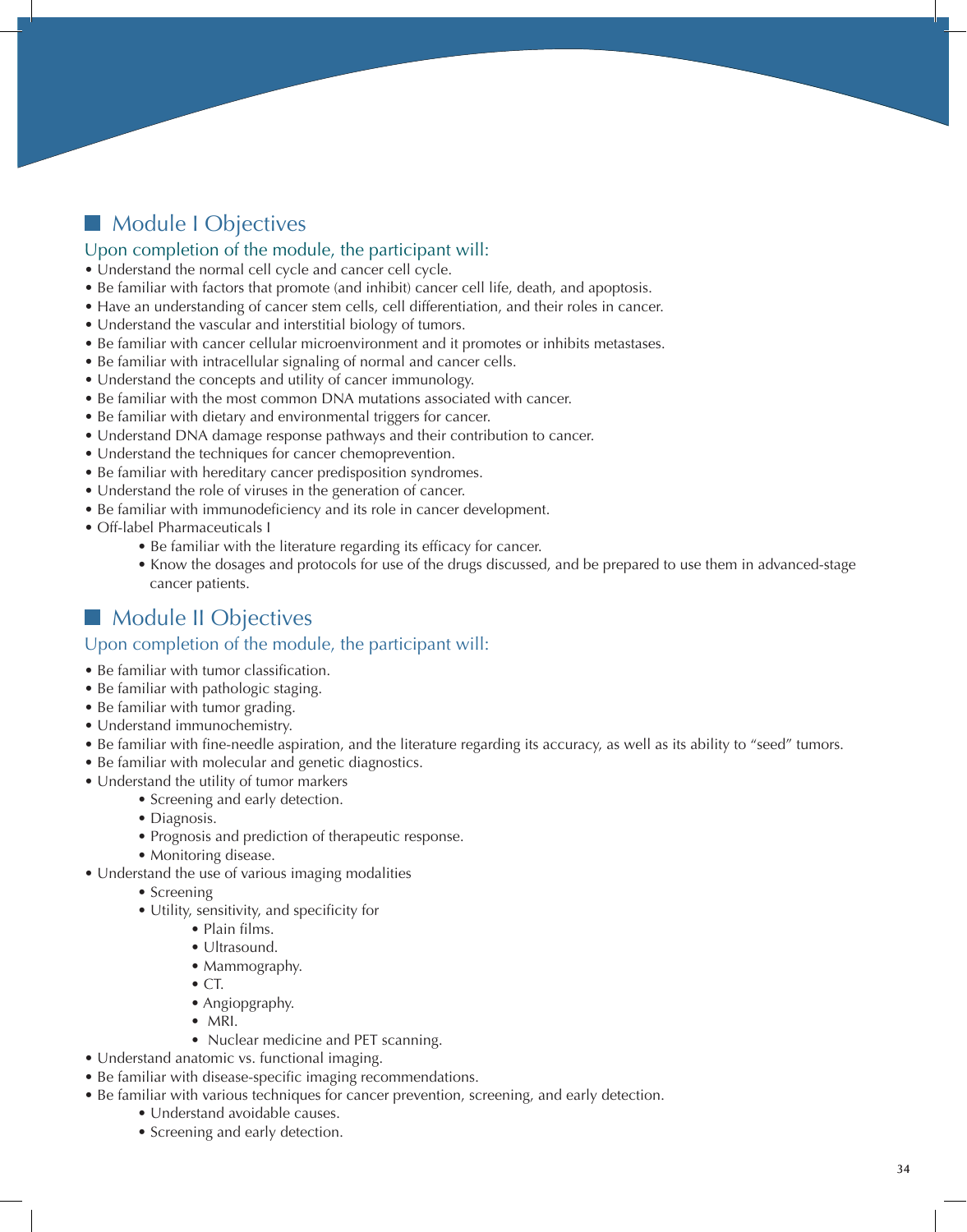# **Module I Objectives**

#### Upon completion of the module, the participant will:

- Understand the normal cell cycle and cancer cell cycle.
- Be familiar with factors that promote (and inhibit) cancer cell life, death, and apoptosis.
- Have an understanding of cancer stem cells, cell differentiation, and their roles in cancer.
- Understand the vascular and interstitial biology of tumors.
- Be familiar with cancer cellular microenvironment and it promotes or inhibits metastases.
- Be familiar with intracellular signaling of normal and cancer cells.
- Understand the concepts and utility of cancer immunology.
- Be familiar with the most common DNA mutations associated with cancer.
- Be familiar with dietary and environmental triggers for cancer.
- Understand DNA damage response pathways and their contribution to cancer.
- Understand the techniques for cancer chemoprevention.
- Be familiar with hereditary cancer predisposition syndromes.
- Understand the role of viruses in the generation of cancer.
- Be familiar with immunodeficiency and its role in cancer development.
- Off-label Pharmaceuticals I
	- Be familiar with the literature regarding its efficacy for cancer.
	- Know the dosages and protocols for use of the drugs discussed, and be prepared to use them in advanced-stage cancer patients.

# **Module II Objectives**

- Be familiar with tumor classification.
- Be familiar with pathologic staging.
- Be familiar with tumor grading.
- Understand immunochemistry.
- Be familiar with fine-needle aspiration, and the literature regarding its accuracy, as well as its ability to "seed" tumors.
- Be familiar with molecular and genetic diagnostics.
- Understand the utility of tumor markers
	- Screening and early detection.
	- Diagnosis.
	- Prognosis and prediction of therapeutic response.
	- Monitoring disease.
- Understand the use of various imaging modalities
	- Screening
	- Utility, sensitivity, and specificity for
		- Plain films.
		- Ultrasound.
		- Mammography.
		- $\bullet$  CT.
		- Angiopgraphy.
		- MRI.
		- Nuclear medicine and PET scanning.
- Understand anatomic vs. functional imaging.
- Be familiar with disease-specific imaging recommendations.
- Be familiar with various techniques for cancer prevention, screening, and early detection.
	- Understand avoidable causes.
	- Screening and early detection.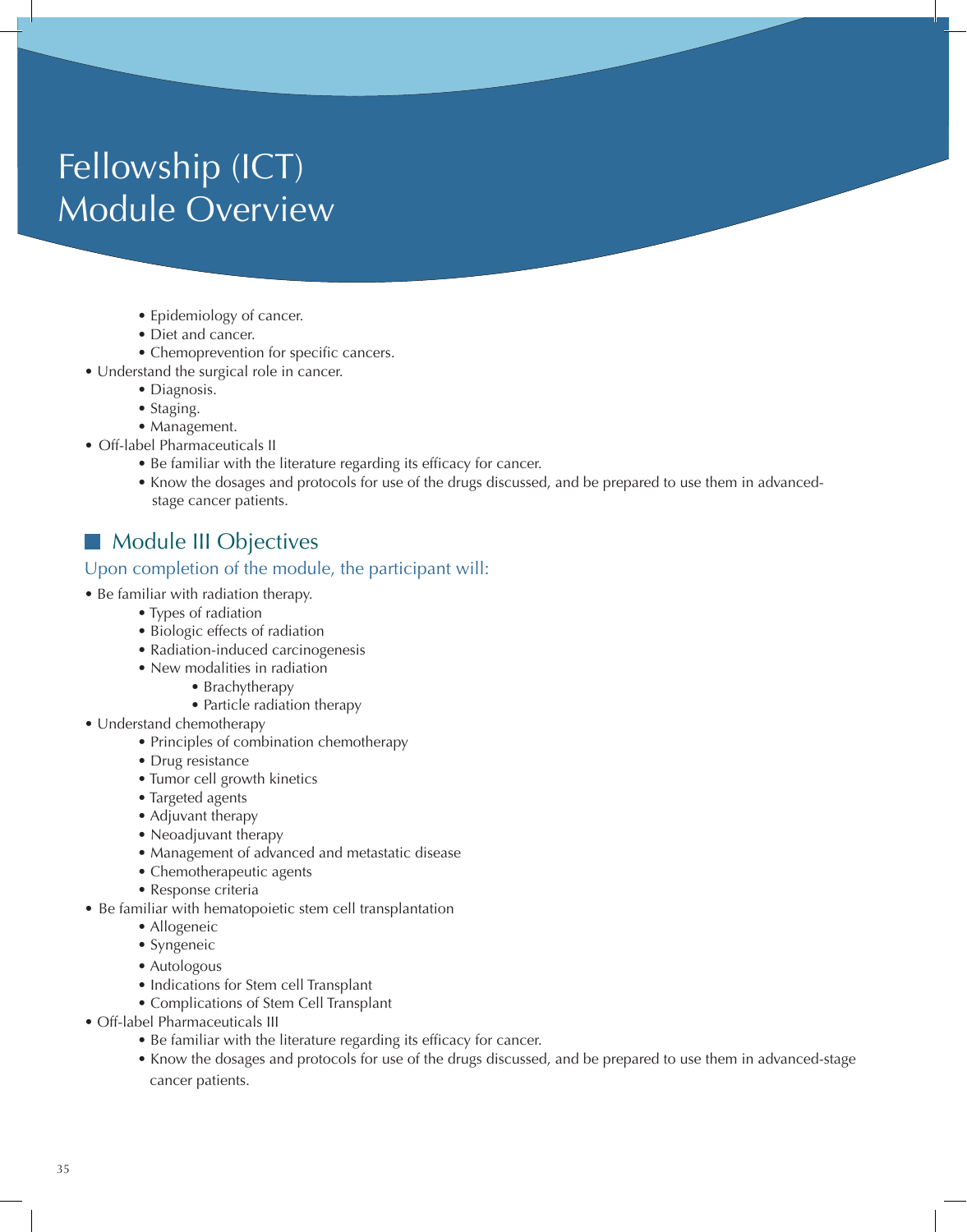# Fellowship (ICT) Module Overview

- Epidemiology of cancer.
- Diet and cancer.
- Chemoprevention for specific cancers.
- Understand the surgical role in cancer.
	- Diagnosis.
	- Staging.
	- Management.
- Off-label Pharmaceuticals II
	- Be familiar with the literature regarding its efficacy for cancer.
	- Know the dosages and protocols for use of the drugs discussed, and be prepared to use them in advanced stage cancer patients.

# Module III Objectives

- Be familiar with radiation therapy.
	- Types of radiation
	- Biologic effects of radiation
	- Radiation-induced carcinogenesis
	- New modalities in radiation
		- Brachytherapy
		- Particle radiation therapy
- Understand chemotherapy
	- Principles of combination chemotherapy
	- Drug resistance
	- Tumor cell growth kinetics
	- Targeted agents
	- Adjuvant therapy
	- Neoadjuvant therapy
	- Management of advanced and metastatic disease
	- Chemotherapeutic agents
	- Response criteria
- Be familiar with hematopoietic stem cell transplantation
	- Allogeneic
	- Syngeneic
	- Autologous
	- Indications for Stem cell Transplant
	- Complications of Stem Cell Transplant
- Off-label Pharmaceuticals III
	- Be familiar with the literature regarding its efficacy for cancer.
	- Know the dosages and protocols for use of the drugs discussed, and be prepared to use them in advanced-stage cancer patients.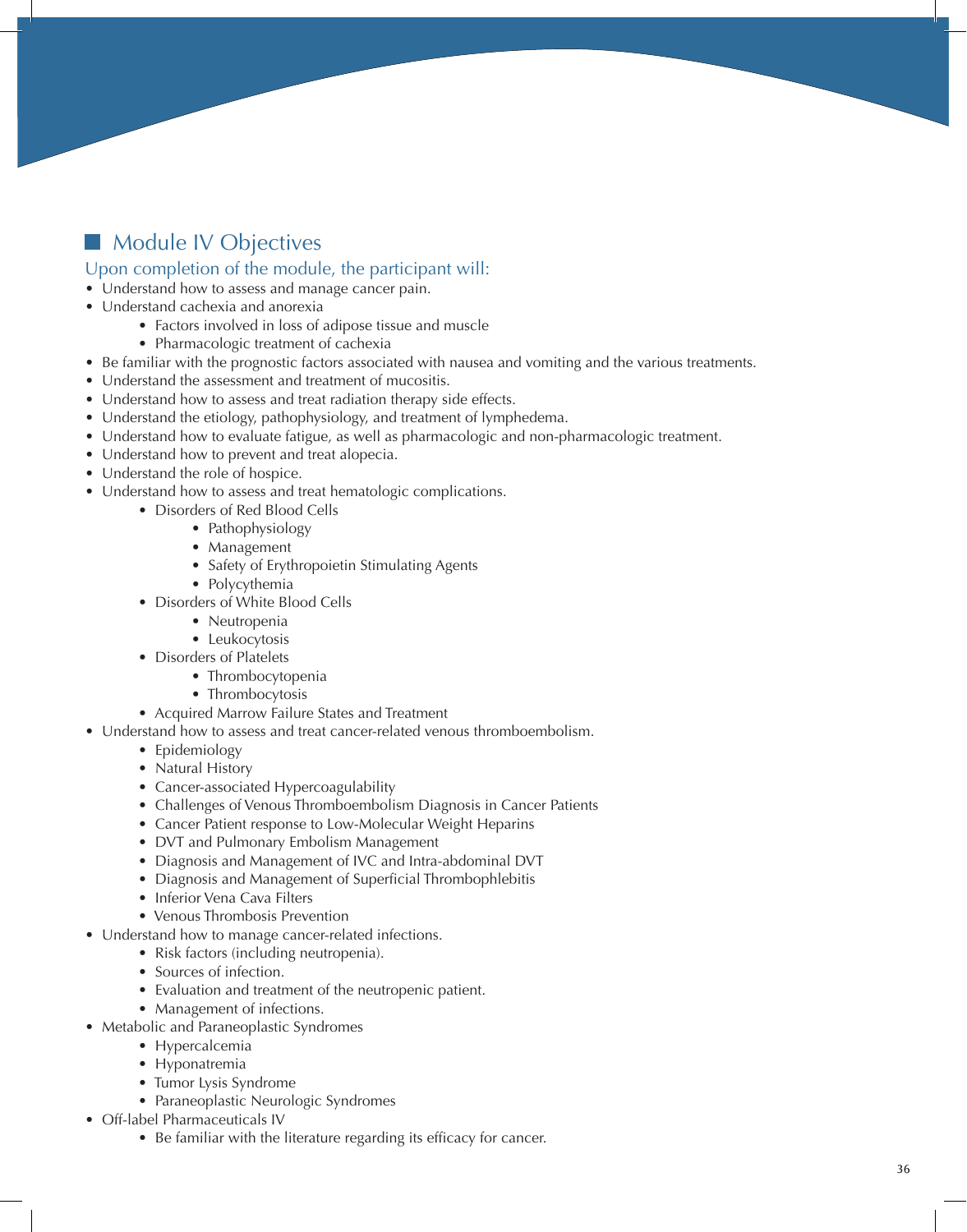# **Module IV Objectives**

- Understand how to assess and manage cancer pain.
- Understand cachexia and anorexia
	- Factors involved in loss of adipose tissue and muscle
	- Pharmacologic treatment of cachexia
- Be familiar with the prognostic factors associated with nausea and vomiting and the various treatments.
- Understand the assessment and treatment of mucositis.
- Understand how to assess and treat radiation therapy side effects.
- Understand the etiology, pathophysiology, and treatment of lymphedema.
- Understand how to evaluate fatigue, as well as pharmacologic and non-pharmacologic treatment.
- Understand how to prevent and treat alopecia.
- Understand the role of hospice.
- Understand how to assess and treat hematologic complications.
	- Disorders of Red Blood Cells
		- Pathophysiology
		- Management
		- Safety of Erythropoietin Stimulating Agents
		- Polycythemia
	- Disorders of White Blood Cells
		- Neutropenia
		- Leukocytosis
	- Disorders of Platelets
		- Thrombocytopenia
		- Thrombocytosis
	- Acquired Marrow Failure States and Treatment
- Understand how to assess and treat cancer-related venous thromboembolism.
	- Epidemiology
	- Natural History
	- Cancer-associated Hypercoagulability
	- Challenges of Venous Thromboembolism Diagnosis in Cancer Patients
	- Cancer Patient response to Low-Molecular Weight Heparins
	- DVT and Pulmonary Embolism Management
	- Diagnosis and Management of IVC and Intra-abdominal DVT
	- Diagnosis and Management of Superficial Thrombophlebitis
	- Inferior Vena Cava Filters
	- Venous Thrombosis Prevention
- Understand how to manage cancer-related infections.
	- Risk factors (including neutropenia).
	- Sources of infection.
	- Evaluation and treatment of the neutropenic patient.
	- Management of infections.
- Metabolic and Paraneoplastic Syndromes
	- Hypercalcemia
	- Hyponatremia
	- Tumor Lysis Syndrome
	- Paraneoplastic Neurologic Syndromes
- Off-label Pharmaceuticals IV
	- Be familiar with the literature regarding its efficacy for cancer.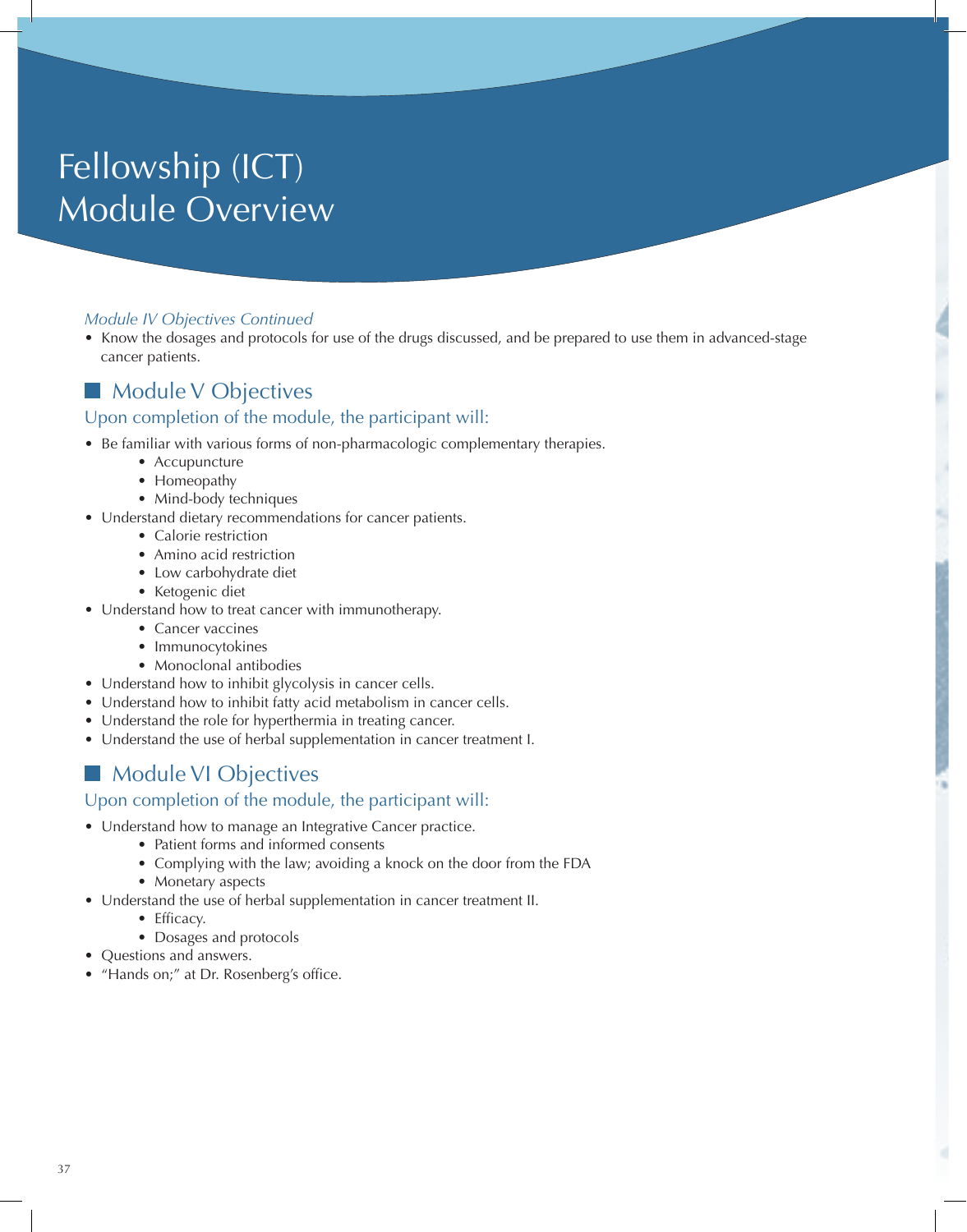# Fellowship (ICT) Module Overview

#### *Module IV Objectives Continued*

• Know the dosages and protocols for use of the drugs discussed, and be prepared to use them in advanced-stage cancer patients.

#### **Module V Objectives** Upon completion of the module, the participant will:

- Be familiar with various forms of non-pharmacologic complementary therapies.
	- Accupuncture
	- Homeopathy
	- Mind-body techniques
- Understand dietary recommendations for cancer patients.
	- Calorie restriction
	- Amino acid restriction
	- Low carbohydrate diet
	- Ketogenic diet
- Understand how to treat cancer with immunotherapy.
	- Cancer vaccines
	- Immunocytokines
	- Monoclonal antibodies
- Understand how to inhibit glycolysis in cancer cells.
- Understand how to inhibit fatty acid metabolism in cancer cells.
- Understand the role for hyperthermia in treating cancer.
- Understand the use of herbal supplementation in cancer treatment I.

## Module VI Objectives

- Understand how to manage an Integrative Cancer practice.
	- Patient forms and informed consents
	- Complying with the law; avoiding a knock on the door from the FDA
	- Monetary aspects
- Understand the use of herbal supplementation in cancer treatment II.
	- Efficacy.
	- Dosages and protocols
- Questions and answers.
- "Hands on;" at Dr. Rosenberg's office.